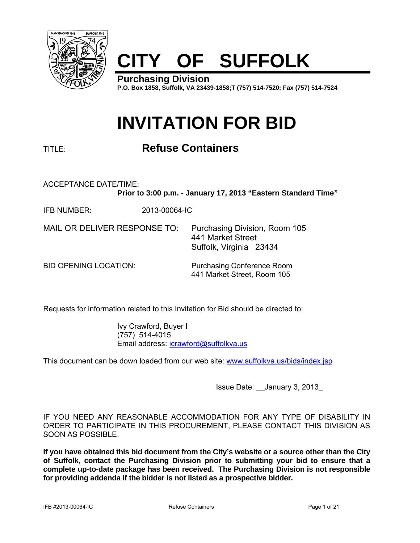

# **CITY OF SUFFOLK**

**Purchasing Division P.O. Box 1858, Suffolk, VA 23439-1858;T (757) 514-7520; Fax (757) 514-7524**

## **INVITATION FOR BID**

## TITLE: **Refuse Containers**

ACCEPTANCE DATE/TIME:

**Prior to 3:00 p.m. - January 17, 2013 "Eastern Standard Time"** 

IFB NUMBER: 2013-00064-IC

MAIL OR DELIVER RESPONSE TO: Purchasing Division, Room 105 441 Market Street Suffolk, Virginia 23434

BID OPENING LOCATION: Purchasing Conference Room 441 Market Street, Room 105

Requests for information related to this Invitation for Bid should be directed to:

 Ivy Crawford, Buyer I (757) 514-4015 Email address: icrawford@suffolkva.us

This document can be down loaded from our web site: www.suffolkva.us/bids/index.jsp

Issue Date: \_\_January 3, 2013\_

IF YOU NEED ANY REASONABLE ACCOMMODATION FOR ANY TYPE OF DISABILITY IN ORDER TO PARTICIPATE IN THIS PROCUREMENT, PLEASE CONTACT THIS DIVISION AS SOON AS POSSIBLE.

**If you have obtained this bid document from the City's website or a source other than the City of Suffolk, contact the Purchasing Division prior to submitting your bid to ensure that a complete up-to-date package has been received. The Purchasing Division is not responsible for providing addenda if the bidder is not listed as a prospective bidder.**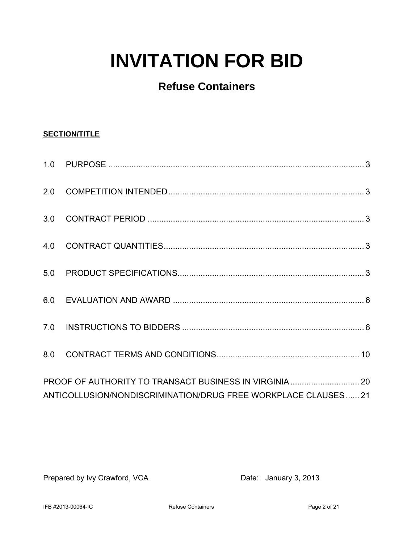# **INVITATION FOR BID**

## **Refuse Containers**

## **SECTION/TITLE**

| ANTICOLLUSION/NONDISCRIMINATION/DRUG FREE WORKPLACE CLAUSES21 |  |
|---------------------------------------------------------------|--|

Prepared by Ivy Crawford, VCA Date: January 3, 2013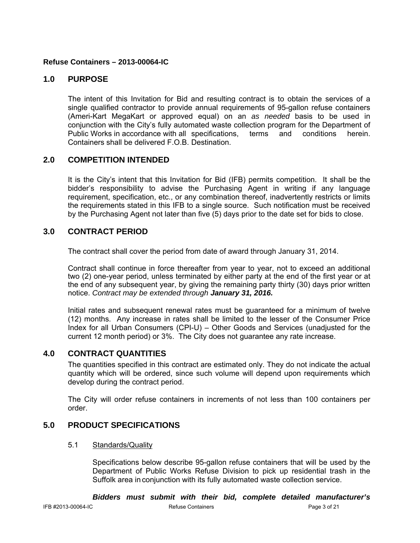## **Refuse Containers – 2013-00064-IC**

## **1.0 PURPOSE**

 The intent of this Invitation for Bid and resulting contract is to obtain the services of a single qualified contractor to provide annual requirements of 95-gallon refuse containers (Ameri-Kart MegaKart or approved equal) on an *as needed* basis to be used in conjunction with the City's fully automated waste collection program for the Department of Public Works in accordance with all specifications, terms and conditions herein. Containers shall be delivered F.O.B. Destination.

## **2.0 COMPETITION INTENDED**

 It is the City's intent that this Invitation for Bid (IFB) permits competition. It shall be the bidder's responsibility to advise the Purchasing Agent in writing if any language requirement, specification, etc., or any combination thereof, inadvertently restricts or limits the requirements stated in this IFB to a single source. Such notification must be received by the Purchasing Agent not later than five (5) days prior to the date set for bids to close.

## **3.0 CONTRACT PERIOD**

The contract shall cover the period from date of award through January 31, 2014.

Contract shall continue in force thereafter from year to year, not to exceed an additional two (2) one-year period, unless terminated by either party at the end of the first year or at the end of any subsequent year, by giving the remaining party thirty (30) days prior written notice. *Contract may be extended through January 31, 2016.*

Initial rates and subsequent renewal rates must be guaranteed for a minimum of twelve (12) months. Any increase in rates shall be limited to the lesser of the Consumer Price Index for all Urban Consumers (CPI-U) – Other Goods and Services (unadjusted for the current 12 month period) or 3%. The City does not guarantee any rate increase.

## **4.0 CONTRACT QUANTITIES**

 The quantities specified in this contract are estimated only. They do not indicate the actual quantity which will be ordered, since such volume will depend upon requirements which develop during the contract period.

 The City will order refuse containers in increments of not less than 100 containers per order.

## **5.0 PRODUCT SPECIFICATIONS**

### 5.1 Standards/Quality

 Specifications below describe 95-gallon refuse containers that will be used by the Department of Public Works Refuse Division to pick up residential trash in the Suffolk area in conjunction with its fully automated waste collection service.

*Bidders must submit with their bid, complete detailed manufacturer's*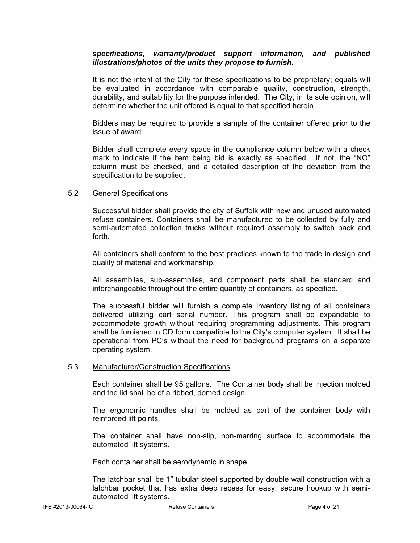#### *specifications, warranty/product support information, and published illustrations/photos of the units they propose to furnish.*

 It is not the intent of the City for these specifications to be proprietary; equals will be evaluated in accordance with comparable quality, construction, strength, durability, and suitability for the purpose intended. The City, in its sole opinion, will determine whether the unit offered is equal to that specified herein.

 Bidders may be required to provide a sample of the container offered prior to the issue of award.

Bidder shall complete every space in the compliance column below with a check mark to indicate if the item being bid is exactly as specified. If not, the "NO" column must be checked, and a detailed description of the deviation from the specification to be supplied.

#### 5.2 General Specifications

Successful bidder shall provide the city of Suffolk with new and unused automated refuse containers. Containers shall be manufactured to be collected by fully and semi-automated collection trucks without required assembly to switch back and forth.

 All containers shall conform to the best practices known to the trade in design and quality of material and workmanship.

 All assemblies, sub-assemblies, and component parts shall be standard and interchangeable throughout the entire quantity of containers, as specified.

The successful bidder will furnish a complete inventory listing of all containers delivered utilizing cart serial number. This program shall be expandable to accommodate growth without requiring programming adjustments. This program shall be furnished in CD form compatible to the City's computer system. It shall be operational from PC's without the need for background programs on a separate operating system.

#### 5.3 Manufacturer/Construction Specifications

Each container shall be 95 gallons. The Container body shall be injection molded and the lid shall be of a ribbed, domed design.

The ergonomic handles shall be molded as part of the container body with reinforced lift points.

The container shall have non-slip, non-marring surface to accommodate the automated lift systems.

Each container shall be aerodynamic in shape.

The latchbar shall be 1" tubular steel supported by double wall construction with a latchbar pocket that has extra deep recess for easy, secure hookup with semiautomated lift systems.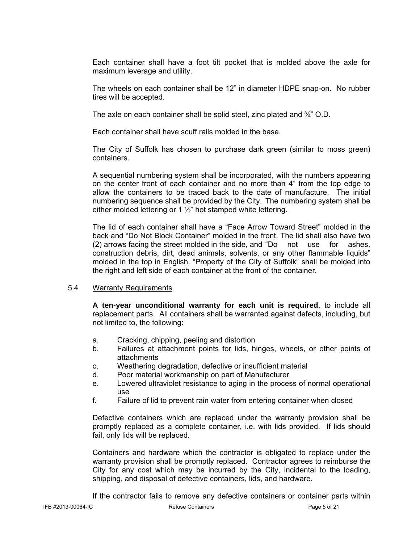Each container shall have a foot tilt pocket that is molded above the axle for maximum leverage and utility.

The wheels on each container shall be 12" in diameter HDPE snap-on. No rubber tires will be accepted.

The axle on each container shall be solid steel, zinc plated and ¾" O.D.

Each container shall have scuff rails molded in the base.

The City of Suffolk has chosen to purchase dark green (similar to moss green) containers.

A sequential numbering system shall be incorporated, with the numbers appearing on the center front of each container and no more than 4" from the top edge to allow the containers to be traced back to the date of manufacture. The initial numbering sequence shall be provided by the City. The numbering system shall be either molded lettering or 1 ½" hot stamped white lettering.

The lid of each container shall have a "Face Arrow Toward Street" molded in the back and "Do Not Block Container" molded in the front. The lid shall also have two (2) arrows facing the street molded in the side, and "Do not use for ashes, construction debris, dirt, dead animals, solvents, or any other flammable liquids" molded in the top in English. "Property of the City of Suffolk" shall be molded into the right and left side of each container at the front of the container.

#### 5.4 Warranty Requirements

**A ten-year unconditional warranty for each unit is required**, to include all replacement parts. All containers shall be warranted against defects, including, but not limited to, the following:

- a. Cracking, chipping, peeling and distortion
- b. Failures at attachment points for lids, hinges, wheels, or other points of attachments
- c. Weathering degradation, defective or insufficient material
- d. Poor material workmanship on part of Manufacturer
- e. Lowered ultraviolet resistance to aging in the process of normal operational use
- f. Failure of lid to prevent rain water from entering container when closed

Defective containers which are replaced under the warranty provision shall be promptly replaced as a complete container, i.e. with lids provided. If lids should fail, only lids will be replaced.

Containers and hardware which the contractor is obligated to replace under the warranty provision shall be promptly replaced. Contractor agrees to reimburse the City for any cost which may be incurred by the City, incidental to the loading, shipping, and disposal of defective containers, lids, and hardware.

If the contractor fails to remove any defective containers or container parts within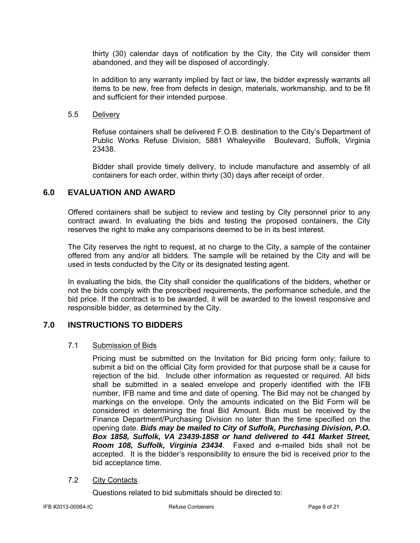thirty (30) calendar days of notification by the City, the City will consider them abandoned, and they will be disposed of accordingly.

In addition to any warranty implied by fact or law, the bidder expressly warrants all items to be new, free from defects in design, materials, workmanship, and to be fit and sufficient for their intended purpose.

#### 5.5 Delivery

Refuse containers shall be delivered F.O.B. destination to the City's Department of Public Works Refuse Division, 5881 Whaleyville Boulevard, Suffolk, Virginia 23438.

Bidder shall provide timely delivery, to include manufacture and assembly of all containers for each order, within thirty (30) days after receipt of order.

## **6.0 EVALUATION AND AWARD**

 Offered containers shall be subject to review and testing by City personnel prior to any contract award. In evaluating the bids and testing the proposed containers, the City reserves the right to make any comparisons deemed to be in its best interest.

 The City reserves the right to request, at no charge to the City, a sample of the container offered from any and/or all bidders. The sample will be retained by the City and will be used in tests conducted by the City or its designated testing agent.

 In evaluating the bids, the City shall consider the qualifications of the bidders, whether or not the bids comply with the prescribed requirements, the performance schedule, and the bid price. If the contract is to be awarded, it will be awarded to the lowest responsive and responsible bidder, as determined by the City.

## **7.0 INSTRUCTIONS TO BIDDERS**

#### 7.1 Submission of Bids

Pricing must be submitted on the Invitation for Bid pricing form only; failure to submit a bid on the official City form provided for that purpose shall be a cause for rejection of the bid. Include other information as requested or required. All bids shall be submitted in a sealed envelope and properly identified with the IFB number, IFB name and time and date of opening. The Bid may not be changed by markings on the envelope. Only the amounts indicated on the Bid Form will be considered in determining the final Bid Amount. Bids must be received by the Finance Department/Purchasing Division no later than the time specified on the opening date. *Bids may be mailed to City of Suffolk, Purchasing Division, P.O. Box 1858, Suffolk, VA 23439-1858 or hand delivered to 441 Market Street, Room 108, Suffolk, Virginia 23434*. Faxed and e-mailed bids shall not be accepted. It is the bidder's responsibility to ensure the bid is received prior to the bid acceptance time.

## 7.2 City Contacts

Questions related to bid submittals should be directed to: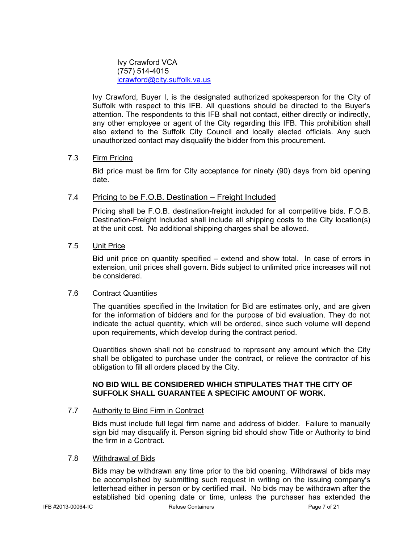Ivy Crawford VCA (757) 514-4015 icrawford@city.suffolk.va.us

Ivy Crawford, Buyer I, is the designated authorized spokesperson for the City of Suffolk with respect to this IFB. All questions should be directed to the Buyer's attention. The respondents to this IFB shall not contact, either directly or indirectly, any other employee or agent of the City regarding this IFB. This prohibition shall also extend to the Suffolk City Council and locally elected officials. Any such unauthorized contact may disqualify the bidder from this procurement.

### 7.3 Firm Pricing

Bid price must be firm for City acceptance for ninety (90) days from bid opening date.

## 7.4 Pricing to be F.O.B. Destination – Freight Included

Pricing shall be F.O.B. destination-freight included for all competitive bids. F.O.B. Destination-Freight Included shall include all shipping costs to the City location(s) at the unit cost. No additional shipping charges shall be allowed.

## 7.5 Unit Price

Bid unit price on quantity specified – extend and show total. In case of errors in extension, unit prices shall govern. Bids subject to unlimited price increases will not be considered.

#### 7.6 Contract Quantities

The quantities specified in the Invitation for Bid are estimates only, and are given for the information of bidders and for the purpose of bid evaluation. They do not indicate the actual quantity, which will be ordered, since such volume will depend upon requirements, which develop during the contract period.

Quantities shown shall not be construed to represent any amount which the City shall be obligated to purchase under the contract, or relieve the contractor of his obligation to fill all orders placed by the City.

### **NO BID WILL BE CONSIDERED WHICH STIPULATES THAT THE CITY OF SUFFOLK SHALL GUARANTEE A SPECIFIC AMOUNT OF WORK.**

## 7.7 Authority to Bind Firm in Contract

Bids must include full legal firm name and address of bidder. Failure to manually sign bid may disqualify it. Person signing bid should show Title or Authority to bind the firm in a Contract.

#### 7.8 Withdrawal of Bids

Bids may be withdrawn any time prior to the bid opening. Withdrawal of bids may be accomplished by submitting such request in writing on the issuing company's letterhead either in person or by certified mail. No bids may be withdrawn after the established bid opening date or time, unless the purchaser has extended the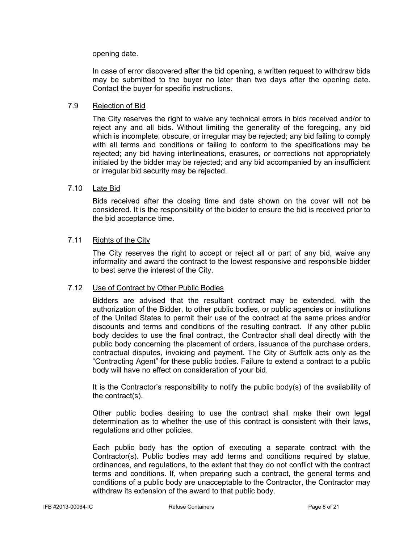opening date.

In case of error discovered after the bid opening, a written request to withdraw bids may be submitted to the buyer no later than two days after the opening date. Contact the buyer for specific instructions.

## 7.9 Rejection of Bid

The City reserves the right to waive any technical errors in bids received and/or to reject any and all bids. Without limiting the generality of the foregoing, any bid which is incomplete, obscure, or irregular may be rejected; any bid failing to comply with all terms and conditions or failing to conform to the specifications may be rejected; any bid having interlineations, erasures, or corrections not appropriately initialed by the bidder may be rejected; and any bid accompanied by an insufficient or irregular bid security may be rejected.

### 7.10 Late Bid

Bids received after the closing time and date shown on the cover will not be considered. It is the responsibility of the bidder to ensure the bid is received prior to the bid acceptance time.

### 7.11 Rights of the City

The City reserves the right to accept or reject all or part of any bid, waive any informality and award the contract to the lowest responsive and responsible bidder to best serve the interest of the City.

#### 7.12 Use of Contract by Other Public Bodies

Bidders are advised that the resultant contract may be extended, with the authorization of the Bidder, to other public bodies, or public agencies or institutions of the United States to permit their use of the contract at the same prices and/or discounts and terms and conditions of the resulting contract. If any other public body decides to use the final contract, the Contractor shall deal directly with the public body concerning the placement of orders, issuance of the purchase orders, contractual disputes, invoicing and payment. The City of Suffolk acts only as the "Contracting Agent" for these public bodies. Failure to extend a contract to a public body will have no effect on consideration of your bid.

It is the Contractor's responsibility to notify the public body(s) of the availability of the contract(s).

Other public bodies desiring to use the contract shall make their own legal determination as to whether the use of this contract is consistent with their laws, regulations and other policies.

Each public body has the option of executing a separate contract with the Contractor(s). Public bodies may add terms and conditions required by statue, ordinances, and regulations, to the extent that they do not conflict with the contract terms and conditions. If, when preparing such a contract, the general terms and conditions of a public body are unacceptable to the Contractor, the Contractor may withdraw its extension of the award to that public body.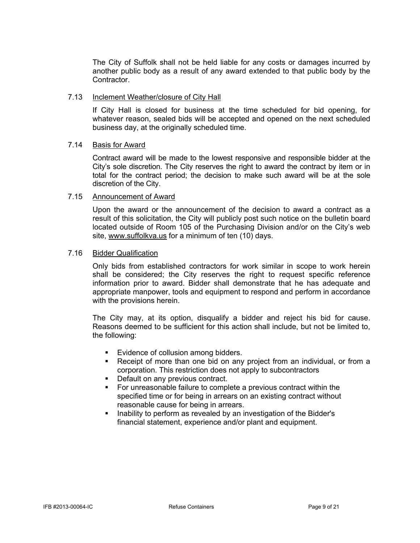The City of Suffolk shall not be held liable for any costs or damages incurred by another public body as a result of any award extended to that public body by the Contractor.

#### 7.13 Inclement Weather/closure of City Hall

If City Hall is closed for business at the time scheduled for bid opening, for whatever reason, sealed bids will be accepted and opened on the next scheduled business day, at the originally scheduled time.

#### 7.14 Basis for Award

Contract award will be made to the lowest responsive and responsible bidder at the City's sole discretion. The City reserves the right to award the contract by item or in total for the contract period; the decision to make such award will be at the sole discretion of the City.

#### 7.15 Announcement of Award

Upon the award or the announcement of the decision to award a contract as a result of this solicitation, the City will publicly post such notice on the bulletin board located outside of Room 105 of the Purchasing Division and/or on the City's web site, www.suffolkva.us for a minimum of ten (10) days.

#### 7.16 Bidder Qualification

Only bids from established contractors for work similar in scope to work herein shall be considered; the City reserves the right to request specific reference information prior to award. Bidder shall demonstrate that he has adequate and appropriate manpower, tools and equipment to respond and perform in accordance with the provisions herein.

The City may, at its option, disqualify a bidder and reject his bid for cause. Reasons deemed to be sufficient for this action shall include, but not be limited to, the following:

- **Evidence of collusion among bidders.**
- Receipt of more than one bid on any project from an individual, or from a corporation. This restriction does not apply to subcontractors
- **Default on any previous contract.**
- For unreasonable failure to complete a previous contract within the specified time or for being in arrears on an existing contract without reasonable cause for being in arrears.
- **Inability to perform as revealed by an investigation of the Bidder's** financial statement, experience and/or plant and equipment.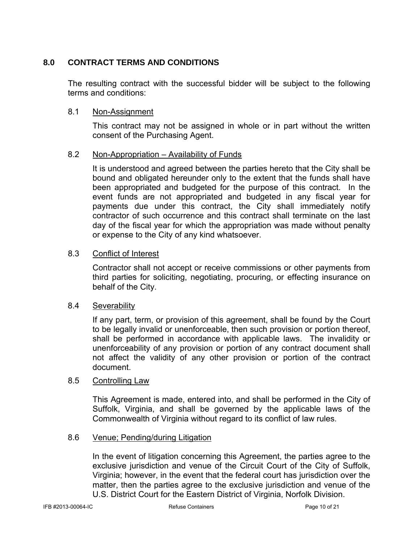## **8.0 CONTRACT TERMS AND CONDITIONS**

The resulting contract with the successful bidder will be subject to the following terms and conditions:

## 8.1 Non-Assignment

This contract may not be assigned in whole or in part without the written consent of the Purchasing Agent.

## 8.2 Non-Appropriation – Availability of Funds

It is understood and agreed between the parties hereto that the City shall be bound and obligated hereunder only to the extent that the funds shall have been appropriated and budgeted for the purpose of this contract. In the event funds are not appropriated and budgeted in any fiscal year for payments due under this contract, the City shall immediately notify contractor of such occurrence and this contract shall terminate on the last day of the fiscal year for which the appropriation was made without penalty or expense to the City of any kind whatsoever.

## 8.3 Conflict of Interest

Contractor shall not accept or receive commissions or other payments from third parties for soliciting, negotiating, procuring, or effecting insurance on behalf of the City.

## 8.4 Severability

If any part, term, or provision of this agreement, shall be found by the Court to be legally invalid or unenforceable, then such provision or portion thereof, shall be performed in accordance with applicable laws. The invalidity or unenforceability of any provision or portion of any contract document shall not affect the validity of any other provision or portion of the contract document.

## 8.5 Controlling Law

This Agreement is made, entered into, and shall be performed in the City of Suffolk, Virginia, and shall be governed by the applicable laws of the Commonwealth of Virginia without regard to its conflict of law rules.

## 8.6 Venue; Pending/during Litigation

In the event of litigation concerning this Agreement, the parties agree to the exclusive jurisdiction and venue of the Circuit Court of the City of Suffolk, Virginia; however, in the event that the federal court has jurisdiction over the matter, then the parties agree to the exclusive jurisdiction and venue of the U.S. District Court for the Eastern District of Virginia, Norfolk Division.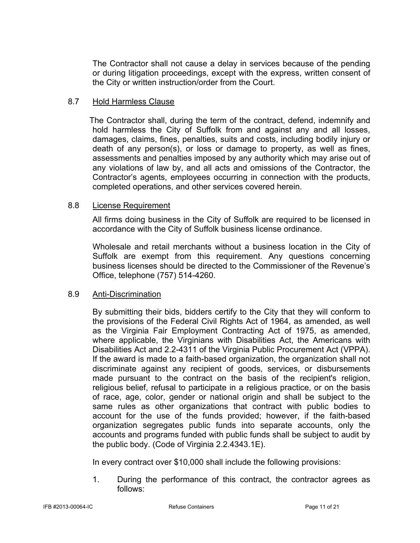The Contractor shall not cause a delay in services because of the pending or during litigation proceedings, except with the express, written consent of the City or written instruction/order from the Court.

## 8.7 Hold Harmless Clause

 The Contractor shall, during the term of the contract, defend, indemnify and hold harmless the City of Suffolk from and against any and all losses, damages, claims, fines, penalties, suits and costs, including bodily injury or death of any person(s), or loss or damage to property, as well as fines, assessments and penalties imposed by any authority which may arise out of any violations of law by, and all acts and omissions of the Contractor, the Contractor's agents, employees occurring in connection with the products, completed operations, and other services covered herein.

## 8.8 License Requirement

All firms doing business in the City of Suffolk are required to be licensed in accordance with the City of Suffolk business license ordinance.

Wholesale and retail merchants without a business location in the City of Suffolk are exempt from this requirement. Any questions concerning business licenses should be directed to the Commissioner of the Revenue's Office, telephone (757) 514-4260.

## 8.9 Anti-Discrimination

By submitting their bids, bidders certify to the City that they will conform to the provisions of the Federal Civil Rights Act of 1964, as amended, as well as the Virginia Fair Employment Contracting Act of 1975, as amended, where applicable, the Virginians with Disabilities Act, the Americans with Disabilities Act and 2.2-4311 of the Virginia Public Procurement Act (VPPA). If the award is made to a faith-based organization, the organization shall not discriminate against any recipient of goods, services, or disbursements made pursuant to the contract on the basis of the recipient's religion, religious belief, refusal to participate in a religious practice, or on the basis of race, age, color, gender or national origin and shall be subject to the same rules as other organizations that contract with public bodies to account for the use of the funds provided; however, if the faith-based organization segregates public funds into separate accounts, only the accounts and programs funded with public funds shall be subject to audit by the public body. (Code of Virginia 2.2.4343.1E).

In every contract over \$10,000 shall include the following provisions:

1. During the performance of this contract, the contractor agrees as follows: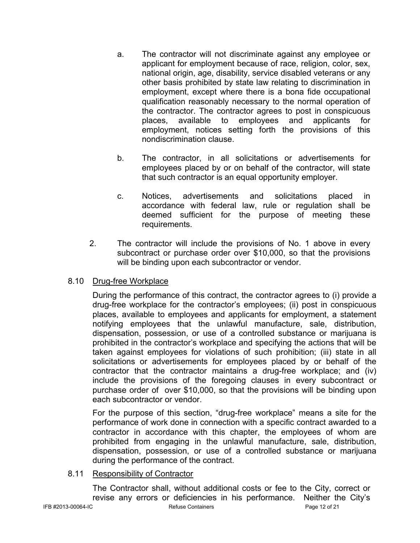- a. The contractor will not discriminate against any employee or applicant for employment because of race, religion, color, sex, national origin, age, disability, service disabled veterans or any other basis prohibited by state law relating to discrimination in employment, except where there is a bona fide occupational qualification reasonably necessary to the normal operation of the contractor. The contractor agrees to post in conspicuous places, available to employees and applicants for employment, notices setting forth the provisions of this nondiscrimination clause.
- b. The contractor, in all solicitations or advertisements for employees placed by or on behalf of the contractor, will state that such contractor is an equal opportunity employer.
- c. Notices, advertisements and solicitations placed in accordance with federal law, rule or regulation shall be deemed sufficient for the purpose of meeting these requirements.
- 2. The contractor will include the provisions of No. 1 above in every subcontract or purchase order over \$10,000, so that the provisions will be binding upon each subcontractor or vendor.

## 8.10 Drug-free Workplace

During the performance of this contract, the contractor agrees to (i) provide a drug-free workplace for the contractor's employees; (ii) post in conspicuous places, available to employees and applicants for employment, a statement notifying employees that the unlawful manufacture, sale, distribution, dispensation, possession, or use of a controlled substance or marijuana is prohibited in the contractor's workplace and specifying the actions that will be taken against employees for violations of such prohibition; (iii) state in all solicitations or advertisements for employees placed by or behalf of the contractor that the contractor maintains a drug-free workplace; and (iv) include the provisions of the foregoing clauses in every subcontract or purchase order of over \$10,000, so that the provisions will be binding upon each subcontractor or vendor.

For the purpose of this section, "drug-free workplace" means a site for the performance of work done in connection with a specific contract awarded to a contractor in accordance with this chapter, the employees of whom are prohibited from engaging in the unlawful manufacture, sale, distribution, dispensation, possession, or use of a controlled substance or marijuana during the performance of the contract.

## 8.11 Responsibility of Contractor

The Contractor shall, without additional costs or fee to the City, correct or revise any errors or deficiencies in his performance. Neither the City's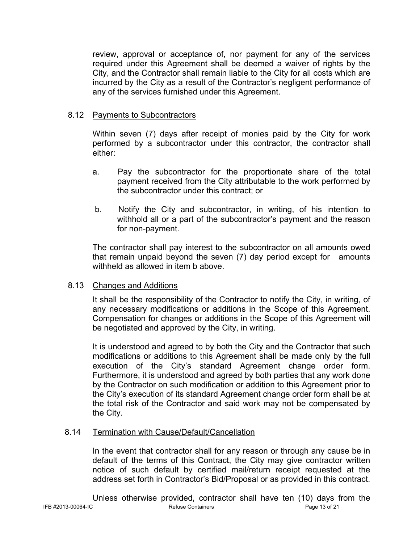review, approval or acceptance of, nor payment for any of the services required under this Agreement shall be deemed a waiver of rights by the City, and the Contractor shall remain liable to the City for all costs which are incurred by the City as a result of the Contractor's negligent performance of any of the services furnished under this Agreement.

## 8.12 Payments to Subcontractors

Within seven (7) days after receipt of monies paid by the City for work performed by a subcontractor under this contractor, the contractor shall either:

- a. Pay the subcontractor for the proportionate share of the total payment received from the City attributable to the work performed by the subcontractor under this contract; or
- b. Notify the City and subcontractor, in writing, of his intention to withhold all or a part of the subcontractor's payment and the reason for non-payment.

The contractor shall pay interest to the subcontractor on all amounts owed that remain unpaid beyond the seven (7) day period except for amounts withheld as allowed in item b above.

## 8.13 Changes and Additions

It shall be the responsibility of the Contractor to notify the City, in writing, of any necessary modifications or additions in the Scope of this Agreement. Compensation for changes or additions in the Scope of this Agreement will be negotiated and approved by the City, in writing.

It is understood and agreed to by both the City and the Contractor that such modifications or additions to this Agreement shall be made only by the full execution of the City's standard Agreement change order form. Furthermore, it is understood and agreed by both parties that any work done by the Contractor on such modification or addition to this Agreement prior to the City's execution of its standard Agreement change order form shall be at the total risk of the Contractor and said work may not be compensated by the City.

## 8.14 Termination with Cause/Default/Cancellation

In the event that contractor shall for any reason or through any cause be in default of the terms of this Contract, the City may give contractor written notice of such default by certified mail/return receipt requested at the address set forth in Contractor's Bid/Proposal or as provided in this contract.

IFB #2013-00064-IC Refuse Containers Page 13 of 21 Unless otherwise provided, contractor shall have ten (10) days from the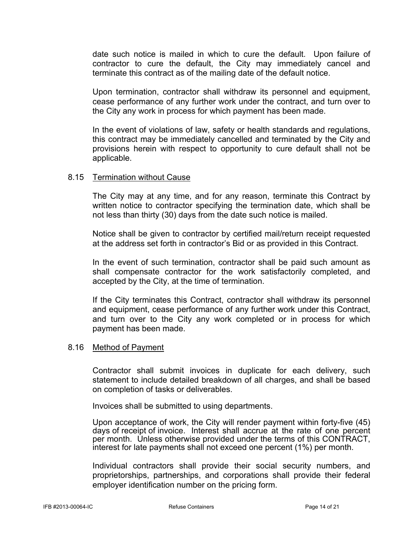date such notice is mailed in which to cure the default. Upon failure of contractor to cure the default, the City may immediately cancel and terminate this contract as of the mailing date of the default notice.

Upon termination, contractor shall withdraw its personnel and equipment, cease performance of any further work under the contract, and turn over to the City any work in process for which payment has been made.

In the event of violations of law, safety or health standards and regulations, this contract may be immediately cancelled and terminated by the City and provisions herein with respect to opportunity to cure default shall not be applicable.

## 8.15 Termination without Cause

The City may at any time, and for any reason, terminate this Contract by written notice to contractor specifying the termination date, which shall be not less than thirty (30) days from the date such notice is mailed.

Notice shall be given to contractor by certified mail/return receipt requested at the address set forth in contractor's Bid or as provided in this Contract.

In the event of such termination, contractor shall be paid such amount as shall compensate contractor for the work satisfactorily completed, and accepted by the City, at the time of termination.

If the City terminates this Contract, contractor shall withdraw its personnel and equipment, cease performance of any further work under this Contract, and turn over to the City any work completed or in process for which payment has been made.

## 8.16 Method of Payment

Contractor shall submit invoices in duplicate for each delivery, such statement to include detailed breakdown of all charges, and shall be based on completion of tasks or deliverables.

Invoices shall be submitted to using departments.

Upon acceptance of work, the City will render payment within forty-five (45) days of receipt of invoice. Interest shall accrue at the rate of one percent per month. Unless otherwise provided under the terms of this CONTRACT, interest for late payments shall not exceed one percent (1%) per month.

Individual contractors shall provide their social security numbers, and proprietorships, partnerships, and corporations shall provide their federal employer identification number on the pricing form.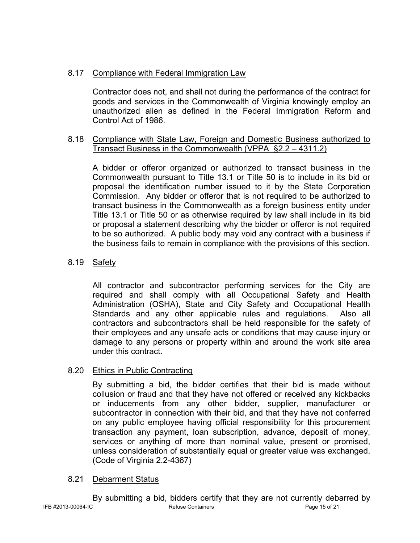## 8.17 Compliance with Federal Immigration Law

Contractor does not, and shall not during the performance of the contract for goods and services in the Commonwealth of Virginia knowingly employ an unauthorized alien as defined in the Federal Immigration Reform and Control Act of 1986.

## 8.18 Compliance with State Law, Foreign and Domestic Business authorized to Transact Business in the Commonwealth (VPPA §2.2 – 4311.2)

A bidder or offeror organized or authorized to transact business in the Commonwealth pursuant to Title 13.1 or Title 50 is to include in its bid or proposal the identification number issued to it by the State Corporation Commission. Any bidder or offeror that is not required to be authorized to transact business in the Commonwealth as a foreign business entity under Title 13.1 or Title 50 or as otherwise required by law shall include in its bid or proposal a statement describing why the bidder or offeror is not required to be so authorized. A public body may void any contract with a business if the business fails to remain in compliance with the provisions of this section.

## 8.19 Safety

All contractor and subcontractor performing services for the City are required and shall comply with all Occupational Safety and Health Administration (OSHA), State and City Safety and Occupational Health Standards and any other applicable rules and regulations. Also all contractors and subcontractors shall be held responsible for the safety of their employees and any unsafe acts or conditions that may cause injury or damage to any persons or property within and around the work site area under this contract.

## 8.20 Ethics in Public Contracting

By submitting a bid, the bidder certifies that their bid is made without collusion or fraud and that they have not offered or received any kickbacks or inducements from any other bidder, supplier, manufacturer or subcontractor in connection with their bid, and that they have not conferred on any public employee having official responsibility for this procurement transaction any payment, loan subscription, advance, deposit of money, services or anything of more than nominal value, present or promised, unless consideration of substantially equal or greater value was exchanged. (Code of Virginia 2.2-4367)

## 8.21 Debarment Status

IFB #2013-00064-IC Refuse Containers Page 15 of 21 By submitting a bid, bidders certify that they are not currently debarred by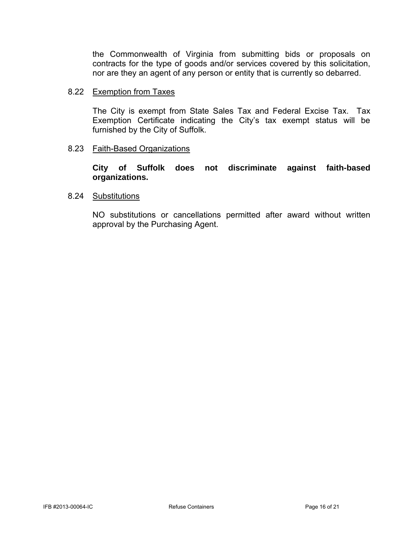the Commonwealth of Virginia from submitting bids or proposals on contracts for the type of goods and/or services covered by this solicitation, nor are they an agent of any person or entity that is currently so debarred.

## 8.22 Exemption from Taxes

The City is exempt from State Sales Tax and Federal Excise Tax. Tax Exemption Certificate indicating the City's tax exempt status will be furnished by the City of Suffolk.

## 8.23 Faith-Based Organizations

**City of Suffolk does not discriminate against faith-based organizations.** 

## 8.24 Substitutions

NO substitutions or cancellations permitted after award without written approval by the Purchasing Agent.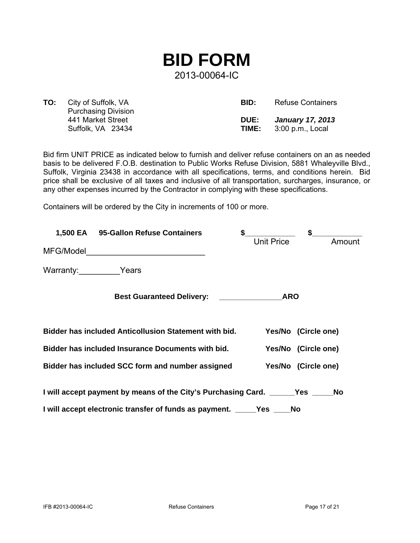

**TO:** City of Suffolk, VA Purchasing Division 441 Market Street Suffolk, VA 23434

| BID:        | <b>Refuse Containers</b> |
|-------------|--------------------------|
| <b>DUE:</b> | <b>January 17, 2013</b>  |
| TIME:       | 3:00 p.m., Local         |

Bid firm UNIT PRICE as indicated below to furnish and deliver refuse containers on an as needed basis to be delivered F.O.B. destination to Public Works Refuse Division, 5881 Whaleyville Blvd., Suffolk, Virginia 23438 in accordance with all specifications, terms, and conditions herein. Bid price shall be exclusive of all taxes and inclusive of all transportation, surcharges, insurance, or any other expenses incurred by the Contractor in complying with these specifications.

Containers will be ordered by the City in increments of 100 or more.

|                 | 1,500 EA 95-Gallon Refuse Containers                                           | \$                                       |                   | \$                  |        |
|-----------------|--------------------------------------------------------------------------------|------------------------------------------|-------------------|---------------------|--------|
| MFG/Model       |                                                                                |                                          | <b>Unit Price</b> |                     | Amount |
| Warranty: Years |                                                                                |                                          |                   |                     |        |
|                 | <b>Best Guaranteed Delivery:</b>                                               | <u> 1980 - Johann Harry Barn, mars a</u> | <b>ARO</b>        |                     |        |
|                 | <b>Bidder has included Anticollusion Statement with bid.</b>                   |                                          |                   | Yes/No (Circle one) |        |
|                 | Bidder has included Insurance Documents with bid.                              |                                          |                   | Yes/No (Circle one) |        |
|                 | Bidder has included SCC form and number assigned                               |                                          |                   | Yes/No (Circle one) |        |
|                 | I will accept payment by means of the City's Purchasing Card. _______Yes _____ |                                          |                   |                     | No     |
|                 | I will accept electronic transfer of funds as payment. _____Yes __             |                                          |                   | No                  |        |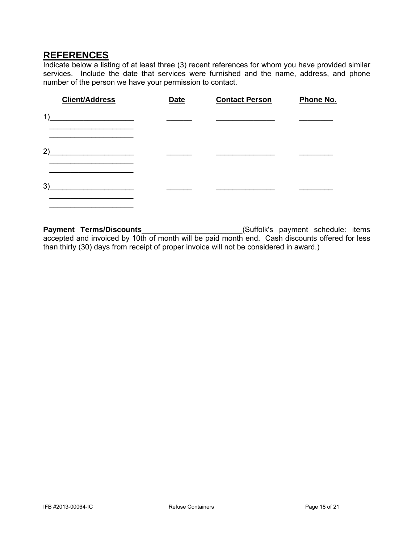## **REFERENCES**

Indicate below a listing of at least three (3) recent references for whom you have provided similar services. Include the date that services were furnished and the name, address, and phone number of the person we have your permission to contact.

| <b>Client/Address</b>                          | <b>Date</b> | <b>Contact Person</b> | Phone No. |
|------------------------------------------------|-------------|-----------------------|-----------|
| 1)<br><u> 1990 - Johann Barbara, martxa al</u> |             |                       |           |
| 2)                                             |             |                       |           |
| 3)                                             |             |                       |           |

Payment Terms/Discounts\_\_\_\_\_\_\_\_\_\_\_\_\_\_\_\_\_\_\_\_\_\_\_\_\_\_\_\_(Suffolk's payment schedule: items accepted and invoiced by 10th of month will be paid month end. Cash discounts offered for less than thirty (30) days from receipt of proper invoice will not be considered in award.)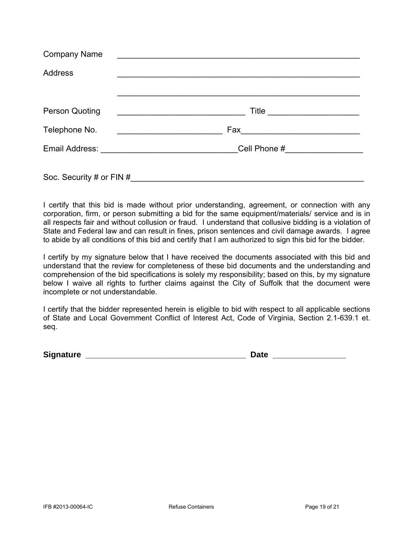| <b>Company Name</b>                                                                         |                                                    |  |
|---------------------------------------------------------------------------------------------|----------------------------------------------------|--|
| <b>Address</b>                                                                              |                                                    |  |
|                                                                                             |                                                    |  |
| <b>Person Quoting</b>                                                                       | <u> 1980 - John Stein, Amerikaansk politiker (</u> |  |
| Telephone No.<br><u> 1989 - Johann Harry Barn, mars ar breist fan de Fryske kommunent (</u> |                                                    |  |
|                                                                                             |                                                    |  |
| Soc. Security # or FIN #                                                                    |                                                    |  |

I certify that this bid is made without prior understanding, agreement, or connection with any corporation, firm, or person submitting a bid for the same equipment/materials/ service and is in all respects fair and without collusion or fraud. I understand that collusive bidding is a violation of State and Federal law and can result in fines, prison sentences and civil damage awards. I agree to abide by all conditions of this bid and certify that I am authorized to sign this bid for the bidder.

I certify by my signature below that I have received the documents associated with this bid and understand that the review for completeness of these bid documents and the understanding and comprehension of the bid specifications is solely my responsibility; based on this, by my signature below I waive all rights to further claims against the City of Suffolk that the document were incomplete or not understandable.

I certify that the bidder represented herein is eligible to bid with respect to all applicable sections of State and Local Government Conflict of Interest Act, Code of Virginia, Section 2.1-639.1 et. seq.

**Signature Signature** *Contract Contract Contract Contract Contract Contract Contract Contract Contract Contract Contract Contract Contract Contract Contract Contract Contract Contract Contract Contract Contract Contra*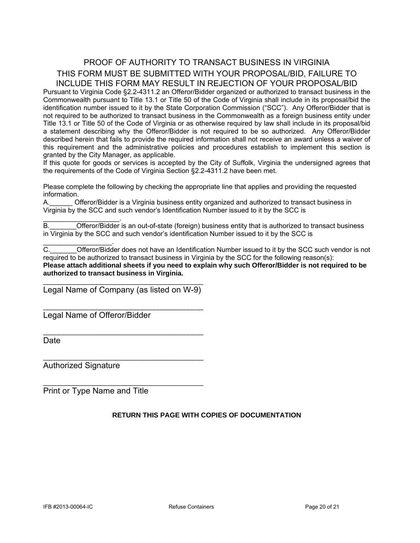## PROOF OF AUTHORITY TO TRANSACT BUSINESS IN VIRGINIA THIS FORM MUST BE SUBMITTED WITH YOUR PROPOSAL/BID, FAILURE TO INCLUDE THIS FORM MAY RESULT IN REJECTION OF YOUR PROPOSAL/BID

Pursuant to Virginia Code §2.2-4311.2 an Offeror/Bidder organized or authorized to transact business in the Commonwealth pursuant to Title 13.1 or Title 50 of the Code of Virginia shall include in its proposal/bid the identification number issued to it by the State Corporation Commission ("SCC"). Any Offeror/Bidder that is not required to be authorized to transact business in the Commonwealth as a foreign business entity under Title 13.1 or Title 50 of the Code of Virginia or as otherwise required by law shall include in its proposal/bid a statement describing why the Offeror/Bidder is not required to be so authorized. Any Offeror/Bidder described herein that fails to provide the required information shall not receive an award unless a waiver of this requirement and the administrative policies and procedures establish to implement this section is granted by the City Manager, as applicable.

If this quote for goods or services is accepted by the City of Suffolk, Virginia the undersigned agrees that the requirements of the Code of Virginia Section §2.2-4311.2 have been met.

Please complete the following by checking the appropriate line that applies and providing the requested information.

A.\_\_\_\_\_\_ Offeror/Bidder is a Virginia business entity organized and authorized to transact business in Virginia by the SCC and such vendor's Identification Number issued to it by the SCC is

 $\mathcal{L}_\text{max}$  and  $\mathcal{L}_\text{max}$  and  $\mathcal{L}_\text{max}$ B.\_\_\_\_\_\_\_Offeror/Bidder is an out-of-state (foreign) business entity that is authorized to transact business in Virginia by the SCC and such vendor's identification Number issued to it by the SCC is

C. C. Chieror/Bidder does not have an Identification Number issued to it by the SCC such vendor is not required to be authorized to transact business in Virginia by the SCC for the following reason(s): **Please attach additional sheets if you need to explain why such Offeror/Bidder is not required to be authorized to transact business in Virginia.** 

\_\_\_\_\_\_\_\_\_\_\_\_\_\_\_\_\_\_\_\_\_\_\_\_\_\_\_\_\_\_\_\_\_\_\_\_\_\_\_\_\_\_ Legal Name of Company (as listed on W-9)

\_\_\_\_\_\_\_\_\_\_\_\_\_\_\_\_\_\_\_\_\_\_\_\_\_\_\_\_\_\_\_\_\_\_\_\_\_\_\_\_\_\_

\_\_\_\_\_\_\_\_\_\_\_\_\_\_\_\_\_\_\_\_\_\_\_\_\_\_\_\_\_\_\_\_\_\_\_\_\_\_\_\_\_\_

\_\_\_\_\_\_\_\_\_\_\_\_\_\_\_\_\_\_\_\_\_\_\_\_\_\_\_\_\_\_\_\_\_\_\_\_\_\_\_\_\_\_

 $\mathcal{L}_\text{max}$  , and the set of the set of the set of the set of the set of the set of the set of the set of the set of the set of the set of the set of the set of the set of the set of the set of the set of the set of the

Legal Name of Offeror/Bidder

Date

Authorized Signature

 $\mathcal{L}=\mathcal{L}^{\mathcal{L}}$  , where  $\mathcal{L}^{\mathcal{L}}$  , we have the set of the set of the set of the set of the set of the set of the set of the set of the set of the set of the set of the set of the set of the set of the set of

Print or Type Name and Title

#### **RETURN THIS PAGE WITH COPIES OF DOCUMENTATION**